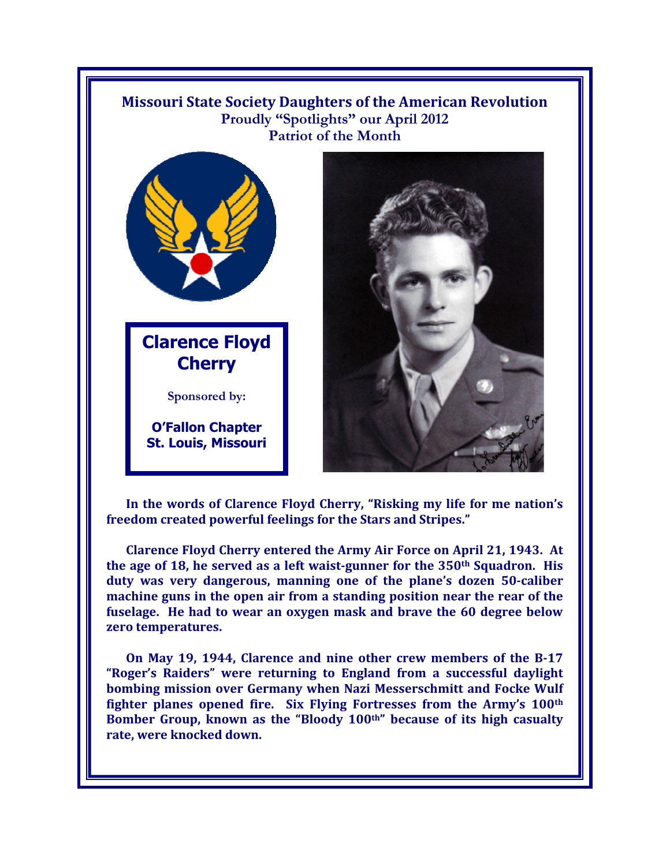## **Missouri State Society Daughters of the American Revolution**  Proudly "Spotlights" our April 2012 **Patriot of the Month**



**Cherry** 

**Sponsored by:** 

**O/Fallon Chapter St. Louis, Missouri**



In the words of Clarence Floyd Cherry, "Risking my life for me nation's freedom created powerful feelings for the Stars and Stripes."

**Clarence Floyd Cherry entered the Army Air Force on April 21, 1943. At the age of 18, he served as a left waist-gunner for the 350th Squadron. His**  duty was very dangerous, manning one of the plane's dozen 50-caliber **machine guns in the open air from a standing position near the rear of the fuselage. He had to wear an oxygen mask and brave the 60 degree below zero temperatures.** 

**On May 19, 1944, Clarence and nine other crew members of the B-17**  "Roger's Raiders" were returning to England from a successful daylight **bombing mission over Germany when Nazi Messerschmitt and Focke Wulf**  fighter planes opened fire. Six Flying Fortresses from the Army's 100<sup>th</sup> Bomber Group, known as the "Bloody 100<sup>th"</sup> because of its high casualty **rate, were knocked down.**